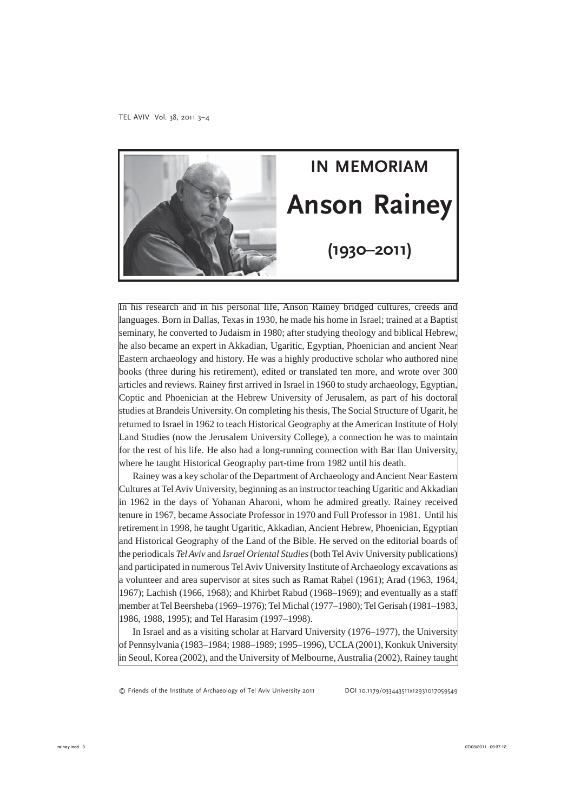

In his research and in his personal life, Anson Rainey bridged cultures, creeds and languages. Born in Dallas, Texas in 1930, he made his home in Israel; trained at a Baptist seminary, he converted to Judaism in 1980; after studying theology and biblical Hebrew, he also became an expert in Akkadian, Ugaritic, Egyptian, Phoenician and ancient Near Eastern archaeology and history. He was a highly productive scholar who authored nine books (three during his retirement), edited or translated ten more, and wrote over 300 articles and reviews. Rainey first arrived in Israel in 1960 to study archaeology, Egyptian, Coptic and Phoenician at the Hebrew University of Jerusalem, as part of his doctoral studies at Brandeis University. On completing his thesis, The Social Structure of Ugarit, he returned to Israel in 1962 to teach Historical Geography at the American Institute of Holy Land Studies (now the Jerusalem University College), a connection he was to maintain for the rest of his life. He also had a long-running connection with Bar Ilan University, where he taught Historical Geography part-time from 1982 until his death.

Rainey was a key scholar of the Department of Archaeology and Ancient Near Eastern Cultures at Tel Aviv University, beginning as an instructor teaching Ugaritic and Akkadian in 1962 in the days of Yohanan Aharoni, whom he admired greatly. Rainey received tenure in 1967, became Associate Professor in 1970 and Full Professor in 1981. Until his retirement in 1998, he taught Ugaritic, Akkadian, Ancient Hebrew, Phoenician, Egyptian and Historical Geography of the Land of the Bible. He served on the editorial boards of the periodicals *Tel Aviv* and *Israel Oriental Studies* (both Tel Aviv University publications) and participated in numerous Tel Aviv University Institute of Archaeology excavations as a volunteer and area supervisor at sites such as Ramat Rahel (1961); Arad (1963, 1964, 1967); Lachish (1966, 1968); and Khirbet Rabud (1968–1969); and eventually as a staff member at Tel Beersheba (1969–1976); Tel Michal (1977–1980); Tel Gerisah (1981–1983, 1986, 1988, 1995); and Tel Harasim (1997–1998).

In Israel and as a visiting scholar at Harvard University (1976–1977), the University of Pennsylvania (1983–1984; 1988–1989; 1995–1996), UCLA (2001), Konkuk University in Seoul, Korea (2002), and the University of Melbourne, Australia (2002), Rainey taught

© Friends of the Institute of Archaeology of Tel Aviv University 2011 DOI 10.1179/033443511x12931017059549